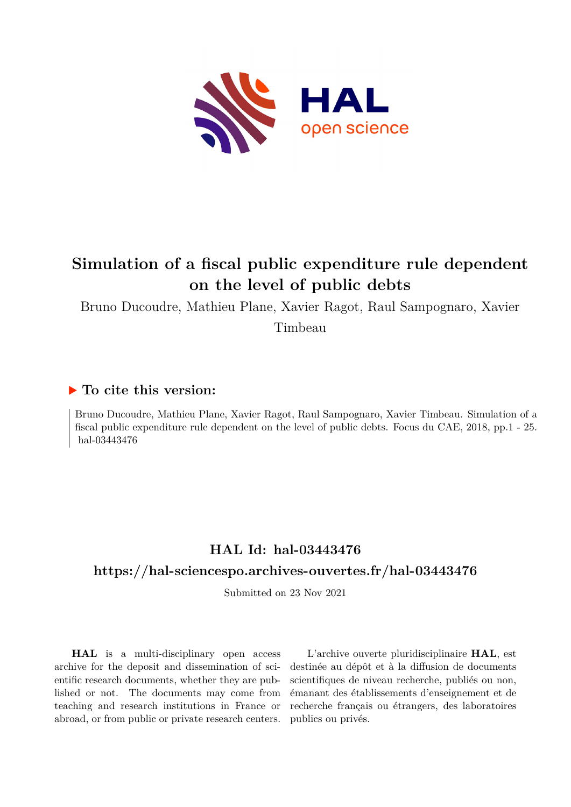

# **Simulation of a fiscal public expenditure rule dependent on the level of public debts**

Bruno Ducoudre, Mathieu Plane, Xavier Ragot, Raul Sampognaro, Xavier

Timbeau

# **To cite this version:**

Bruno Ducoudre, Mathieu Plane, Xavier Ragot, Raul Sampognaro, Xavier Timbeau. Simulation of a fiscal public expenditure rule dependent on the level of public debts. Focus du CAE, 2018, pp.1 - 25. hal-03443476

# **HAL Id: hal-03443476 <https://hal-sciencespo.archives-ouvertes.fr/hal-03443476>**

Submitted on 23 Nov 2021

**HAL** is a multi-disciplinary open access archive for the deposit and dissemination of scientific research documents, whether they are published or not. The documents may come from teaching and research institutions in France or abroad, or from public or private research centers.

L'archive ouverte pluridisciplinaire **HAL**, est destinée au dépôt et à la diffusion de documents scientifiques de niveau recherche, publiés ou non, émanant des établissements d'enseignement et de recherche français ou étrangers, des laboratoires publics ou privés.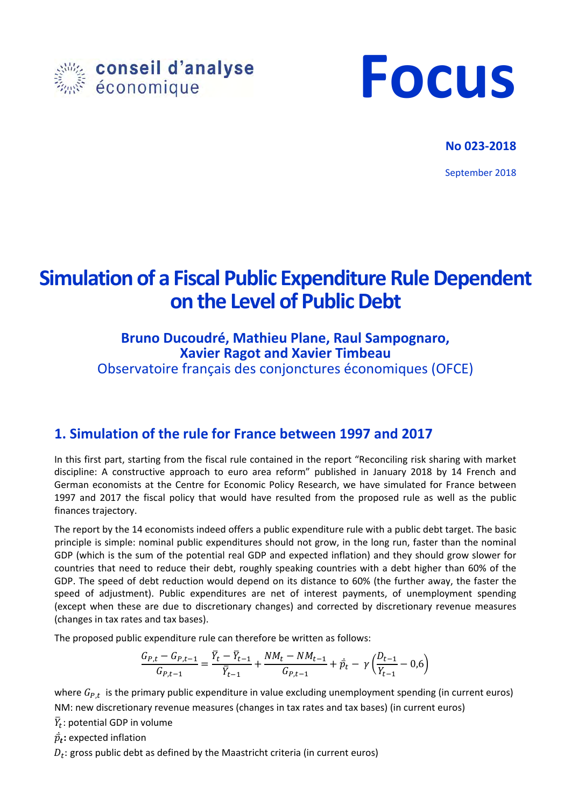



# **No 023‐2018**

September 2018

# **Simulation of a Fiscal Public Expenditure Rule Dependent on the Level of Public Debt**

# **Bruno Ducoudré, Mathieu Plane, Raul Sampognaro, Xavier Ragot and Xavier Timbeau**

Observatoire français des conjonctures économiques (OFCE)

# **1. Simulation of the rule for France between 1997 and 2017**

In this first part, starting from the fiscal rule contained in the report "Reconciling risk sharing with market discipline: A constructive approach to euro area reform" published in January 2018 by 14 French and German economists at the Centre for Economic Policy Research, we have simulated for France between 1997 and 2017 the fiscal policy that would have resulted from the proposed rule as well as the public finances trajectory.

The report by the 14 economists indeed offers a public expenditure rule with a public debt target. The basic principle is simple: nominal public expenditures should not grow, in the long run, faster than the nominal GDP (which is the sum of the potential real GDP and expected inflation) and they should grow slower for countries that need to reduce their debt, roughly speaking countries with a debt higher than 60% of the GDP. The speed of debt reduction would depend on its distance to 60% (the further away, the faster the speed of adjustment). Public expenditures are net of interest payments, of unemployment spending (except when these are due to discretionary changes) and corrected by discretionary revenue measures (changes in tax rates and tax bases).

The proposed public expenditure rule can therefore be written as follows:

$$
\frac{G_{P,t} - G_{P,t-1}}{G_{P,t-1}} = \frac{\bar{Y}_t - \bar{Y}_{t-1}}{\bar{Y}_{t-1}} + \frac{NM_t - NM_{t-1}}{G_{P,t-1}} + \vec{p}_t - \gamma \left(\frac{D_{t-1}}{Y_{t-1}} - 0.6\right)
$$

where  $G_{P,t}$  is the primary public expenditure in value excluding unemployment spending (in current euros) NM: new discretionary revenue measures (changes in tax rates and tax bases) (in current euros)

 $\bar{Y}_t$ : potential GDP in volume

 $\dot{\bar{p_t}}$ : expected inflation

 $D_t$ : gross public debt as defined by the Maastricht criteria (in current euros)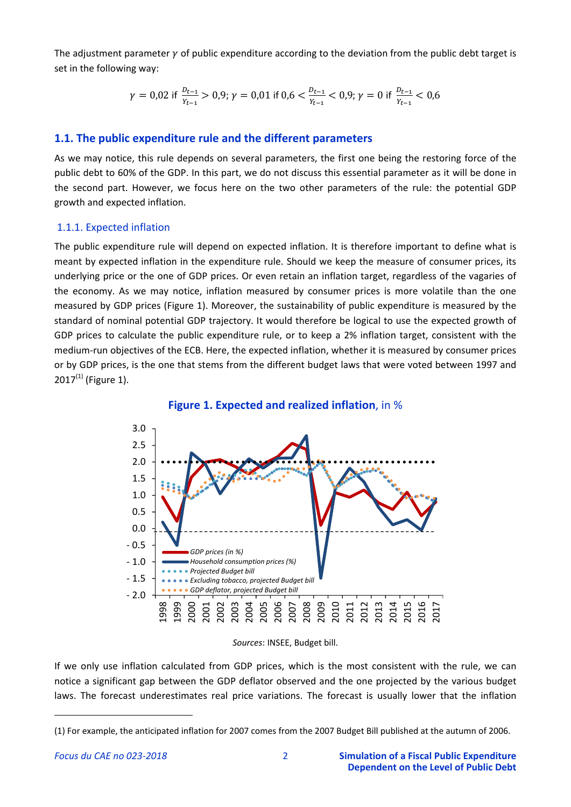The adjustment parameter  $\gamma$  of public expenditure according to the deviation from the public debt target is set in the following way:

$$
\gamma = 0.02 \text{ if } \frac{D_{t-1}}{Y_{t-1}} > 0.9; \gamma = 0.01 \text{ if } 0.6 < \frac{D_{t-1}}{Y_{t-1}} < 0.9; \gamma = 0 \text{ if } \frac{D_{t-1}}{Y_{t-1}} < 0.6
$$

# **1.1. The public expenditure rule and the different parameters**

As we may notice, this rule depends on several parameters, the first one being the restoring force of the public debt to 60% of the GDP. In this part, we do not discuss this essential parameter as it will be done in the second part. However, we focus here on the two other parameters of the rule: the potential GDP growth and expected inflation.

### 1.1.1. Expected inflation

The public expenditure rule will depend on expected inflation. It is therefore important to define what is meant by expected inflation in the expenditure rule. Should we keep the measure of consumer prices, its underlying price or the one of GDP prices. Or even retain an inflation target, regardless of the vagaries of the economy. As we may notice, inflation measured by consumer prices is more volatile than the one measured by GDP prices (Figure 1). Moreover, the sustainability of public expenditure is measured by the standard of nominal potential GDP trajectory. It would therefore be logical to use the expected growth of GDP prices to calculate the public expenditure rule, or to keep a 2% inflation target, consistent with the medium-run objectives of the ECB. Here, the expected inflation, whether it is measured by consumer prices or by GDP prices, is the one that stems from the different budget laws that were voted between 1997 and  $2017^{(1)}$  (Figure 1).

**Figure 1. Expected and realized inflation**, in %



*Sources*: INSEE, Budget bill.

If we only use inflation calculated from GDP prices, which is the most consistent with the rule, we can notice a significant gap between the GDP deflator observed and the one projected by the various budget laws. The forecast underestimates real price variations. The forecast is usually lower that the inflation

<sup>(1)</sup> For example, the anticipated inflation for 2007 comes from the 2007 Budget Bill published at the autumn of 2006.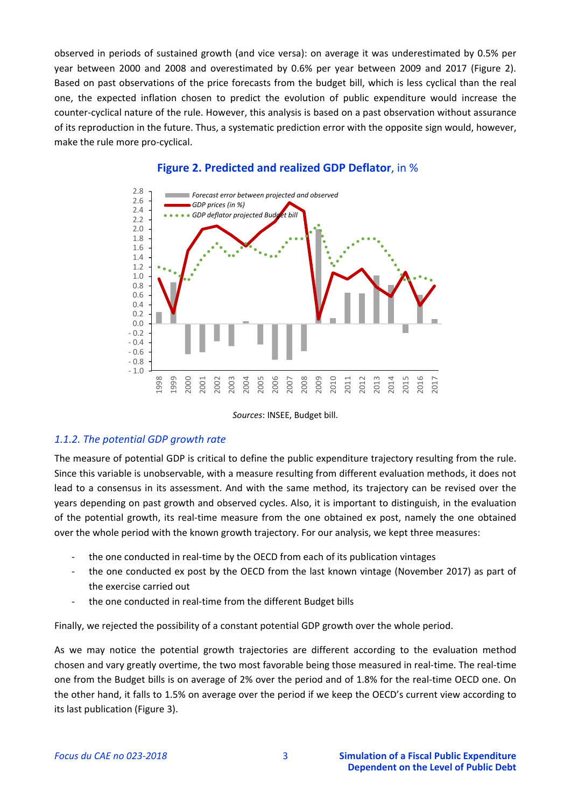observed in periods of sustained growth (and vice versa): on average it was underestimated by 0.5% per year between 2000 and 2008 and overestimated by 0.6% per year between 2009 and 2017 (Figure 2). Based on past observations of the price forecasts from the budget bill, which is less cyclical than the real one, the expected inflation chosen to predict the evolution of public expenditure would increase the counter‐cyclical nature of the rule. However, this analysis is based on a past observation without assurance of its reproduction in the future. Thus, a systematic prediction error with the opposite sign would, however, make the rule more pro‐cyclical.



### **Figure 2. Predicted and realized GDP Deflator**, in %

*Sources*: INSEE, Budget bill.

# *1.1.2. The potential GDP growth rate*

The measure of potential GDP is critical to define the public expenditure trajectory resulting from the rule. Since this variable is unobservable, with a measure resulting from different evaluation methods, it does not lead to a consensus in its assessment. And with the same method, its trajectory can be revised over the years depending on past growth and observed cycles. Also, it is important to distinguish, in the evaluation of the potential growth, its real‐time measure from the one obtained ex post, namely the one obtained over the whole period with the known growth trajectory. For our analysis, we kept three measures:

- the one conducted in real-time by the OECD from each of its publication vintages
- ‐ the one conducted ex post by the OECD from the last known vintage (November 2017) as part of the exercise carried out
- ‐ the one conducted in real‐time from the different Budget bills

Finally, we rejected the possibility of a constant potential GDP growth over the whole period.

As we may notice the potential growth trajectories are different according to the evaluation method chosen and vary greatly overtime, the two most favorable being those measured in real‐time. The real‐time one from the Budget bills is on average of 2% over the period and of 1.8% for the real‐time OECD one. On the other hand, it falls to 1.5% on average over the period if we keep the OECD's current view according to its last publication (Figure 3).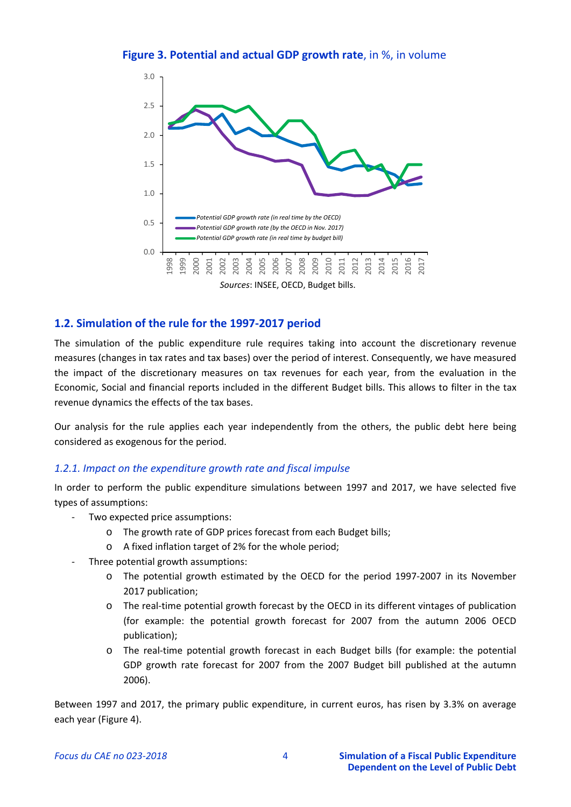**Figure 3. Potential and actual GDP growth rate**, in %, in volume



# **1.2. Simulation of the rule for the 1997‐2017 period**

The simulation of the public expenditure rule requires taking into account the discretionary revenue measures (changes in tax rates and tax bases) over the period of interest. Consequently, we have measured the impact of the discretionary measures on tax revenues for each year, from the evaluation in the Economic, Social and financial reports included in the different Budget bills. This allows to filter in the tax revenue dynamics the effects of the tax bases.

Our analysis for the rule applies each year independently from the others, the public debt here being considered as exogenous for the period.

#### *1.2.1. Impact on the expenditure growth rate and fiscal impulse*

In order to perform the public expenditure simulations between 1997 and 2017, we have selected five types of assumptions:

- Two expected price assumptions:
	- o The growth rate of GDP prices forecast from each Budget bills;
	- o A fixed inflation target of 2% for the whole period;
- ‐ Three potential growth assumptions:
	- o The potential growth estimated by the OECD for the period 1997‐2007 in its November 2017 publication;
	- o The real‐time potential growth forecast by the OECD in its different vintages of publication (for example: the potential growth forecast for 2007 from the autumn 2006 OECD publication);
	- o The real‐time potential growth forecast in each Budget bills (for example: the potential GDP growth rate forecast for 2007 from the 2007 Budget bill published at the autumn 2006).

Between 1997 and 2017, the primary public expenditure, in current euros, has risen by 3.3% on average each year (Figure 4).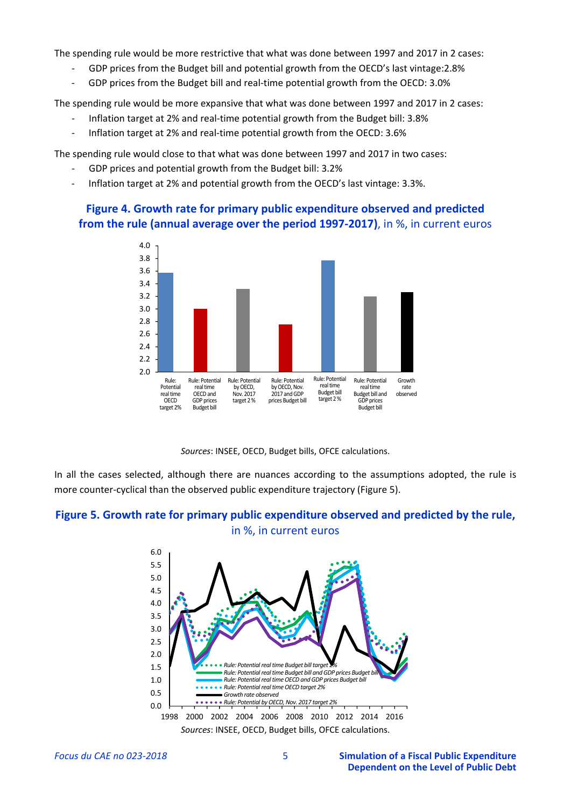The spending rule would be more restrictive that what was done between 1997 and 2017 in 2 cases:

- ‐ GDP prices from the Budget bill and potential growth from the OECD's last vintage:2.8%
- ‐ GDP prices from the Budget bill and real‐time potential growth from the OECD: 3.0%

The spending rule would be more expansive that what was done between 1997 and 2017 in 2 cases:

- Inflation target at 2% and real-time potential growth from the Budget bill: 3.8%
- Inflation target at 2% and real-time potential growth from the OECD: 3.6%

The spending rule would close to that what was done between 1997 and 2017 in two cases:

- ‐ GDP prices and potential growth from the Budget bill: 3.2%
- Inflation target at 2% and potential growth from the OECD's last vintage: 3.3%.

# **Figure 4. Growth rate for primary public expenditure observed and predicted from the rule (annual average over the period 1997‐2017)**, in %, in current euros



*Sources*: INSEE, OECD, Budget bills, OFCE calculations.

In all the cases selected, although there are nuances according to the assumptions adopted, the rule is more counter‐cyclical than the observed public expenditure trajectory (Figure 5).

# **Figure 5. Growth rate for primary public expenditure observed and predicted by the rule,**  in %, in current euros

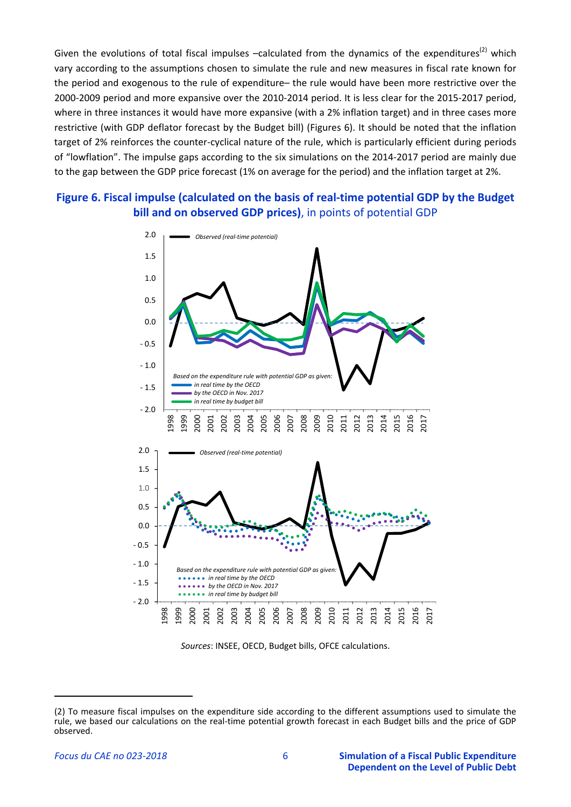Given the evolutions of total fiscal impulses  $-$ calculated from the dynamics of the expenditures<sup>(2)</sup> which vary according to the assumptions chosen to simulate the rule and new measures in fiscal rate known for the period and exogenous to the rule of expenditure– the rule would have been more restrictive over the 2000‐2009 period and more expansive over the 2010‐2014 period. It is less clear for the 2015‐2017 period, where in three instances it would have more expansive (with a 2% inflation target) and in three cases more restrictive (with GDP deflator forecast by the Budget bill) (Figures 6). It should be noted that the inflation target of 2% reinforces the counter‐cyclical nature of the rule, which is particularly efficient during periods of "lowflation". The impulse gaps according to the six simulations on the 2014‐2017 period are mainly due to the gap between the GDP price forecast (1% on average for the period) and the inflation target at 2%.

# **Figure 6. Fiscal impulse (calculated on the basis of real‐time potential GDP by the Budget bill and on observed GDP prices)**, in points of potential GDP





<sup>(2)</sup> To measure fiscal impulses on the expenditure side according to the different assumptions used to simulate the rule, we based our calculations on the real‐time potential growth forecast in each Budget bills and the price of GDP observed.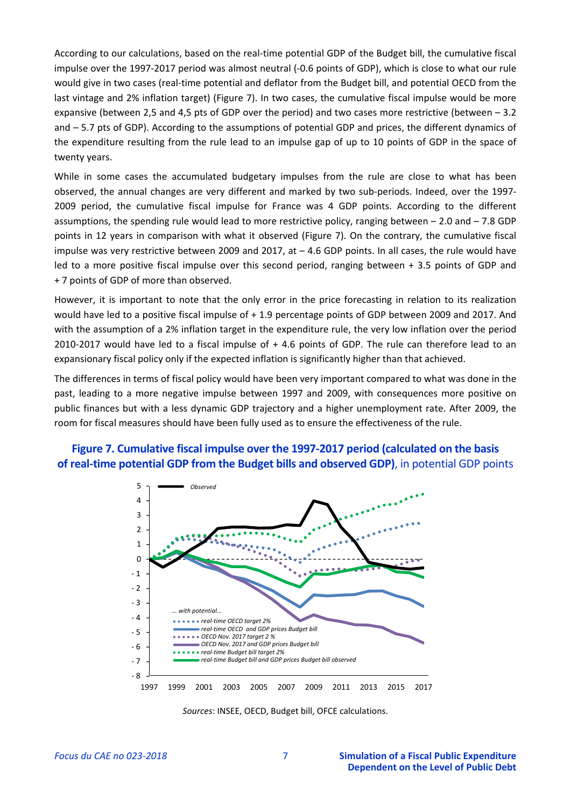According to our calculations, based on the real‐time potential GDP of the Budget bill, the cumulative fiscal impulse over the 1997-2017 period was almost neutral (-0.6 points of GDP), which is close to what our rule would give in two cases (real-time potential and deflator from the Budget bill, and potential OECD from the last vintage and 2% inflation target) (Figure 7). In two cases, the cumulative fiscal impulse would be more expansive (between 2,5 and 4,5 pts of GDP over the period) and two cases more restrictive (between – 3.2 and – 5.7 pts of GDP). According to the assumptions of potential GDP and prices, the different dynamics of the expenditure resulting from the rule lead to an impulse gap of up to 10 points of GDP in the space of twenty years.

While in some cases the accumulated budgetary impulses from the rule are close to what has been observed, the annual changes are very different and marked by two sub‐periods. Indeed, over the 1997‐ 2009 period, the cumulative fiscal impulse for France was 4 GDP points. According to the different assumptions, the spending rule would lead to more restrictive policy, ranging between – 2.0 and – 7.8 GDP points in 12 years in comparison with what it observed (Figure 7). On the contrary, the cumulative fiscal impulse was very restrictive between 2009 and 2017, at  $-4.6$  GDP points. In all cases, the rule would have led to a more positive fiscal impulse over this second period, ranging between + 3.5 points of GDP and + 7 points of GDP of more than observed.

However, it is important to note that the only error in the price forecasting in relation to its realization would have led to a positive fiscal impulse of + 1.9 percentage points of GDP between 2009 and 2017. And with the assumption of a 2% inflation target in the expenditure rule, the very low inflation over the period 2010-2017 would have led to a fiscal impulse of  $+4.6$  points of GDP. The rule can therefore lead to an expansionary fiscal policy only if the expected inflation is significantly higher than that achieved.

The differences in terms of fiscal policy would have been very important compared to what was done in the past, leading to a more negative impulse between 1997 and 2009, with consequences more positive on public finances but with a less dynamic GDP trajectory and a higher unemployment rate. After 2009, the room for fiscal measures should have been fully used as to ensure the effectiveness of the rule.





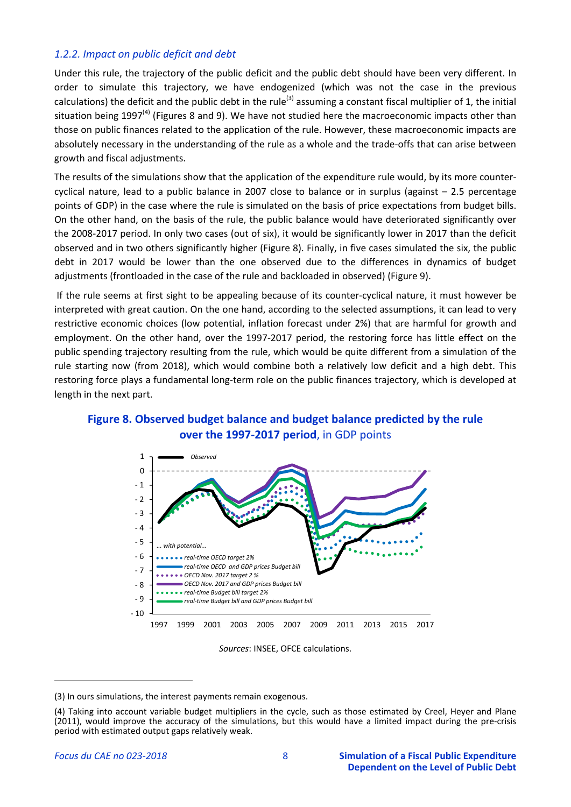## *1.2.2. Impact on public deficit and debt*

Under this rule, the trajectory of the public deficit and the public debt should have been very different. In order to simulate this trajectory, we have endogenized (which was not the case in the previous calculations) the deficit and the public debt in the rule<sup>(3)</sup> assuming a constant fiscal multiplier of 1, the initial situation being 1997<sup>(4)</sup> (Figures 8 and 9). We have not studied here the macroeconomic impacts other than those on public finances related to the application of the rule. However, these macroeconomic impacts are absolutely necessary in the understanding of the rule as a whole and the trade‐offs that can arise between growth and fiscal adjustments.

The results of the simulations show that the application of the expenditure rule would, by its more counter‐ cyclical nature, lead to a public balance in 2007 close to balance or in surplus (against – 2.5 percentage points of GDP) in the case where the rule is simulated on the basis of price expectations from budget bills. On the other hand, on the basis of the rule, the public balance would have deteriorated significantly over the 2008‐2017 period. In only two cases (out of six), it would be significantly lower in 2017 than the deficit observed and in two others significantly higher (Figure 8). Finally, in five cases simulated the six, the public debt in 2017 would be lower than the one observed due to the differences in dynamics of budget adjustments (frontloaded in the case of the rule and backloaded in observed) (Figure 9).

If the rule seems at first sight to be appealing because of its counter‐cyclical nature, it must however be interpreted with great caution. On the one hand, according to the selected assumptions, it can lead to very restrictive economic choices (low potential, inflation forecast under 2%) that are harmful for growth and employment. On the other hand, over the 1997-2017 period, the restoring force has little effect on the public spending trajectory resulting from the rule, which would be quite different from a simulation of the rule starting now (from 2018), which would combine both a relatively low deficit and a high debt. This restoring force plays a fundamental long-term role on the public finances trajectory, which is developed at length in the next part.





*Sources*: INSEE, OFCE calculations.

<sup>(3)</sup> In ours simulations, the interest payments remain exogenous.

<sup>(4)</sup> Taking into account variable budget multipliers in the cycle, such as those estimated by Creel, Heyer and Plane (2011), would improve the accuracy of the simulations, but this would have a limited impact during the pre‐crisis period with estimated output gaps relatively weak.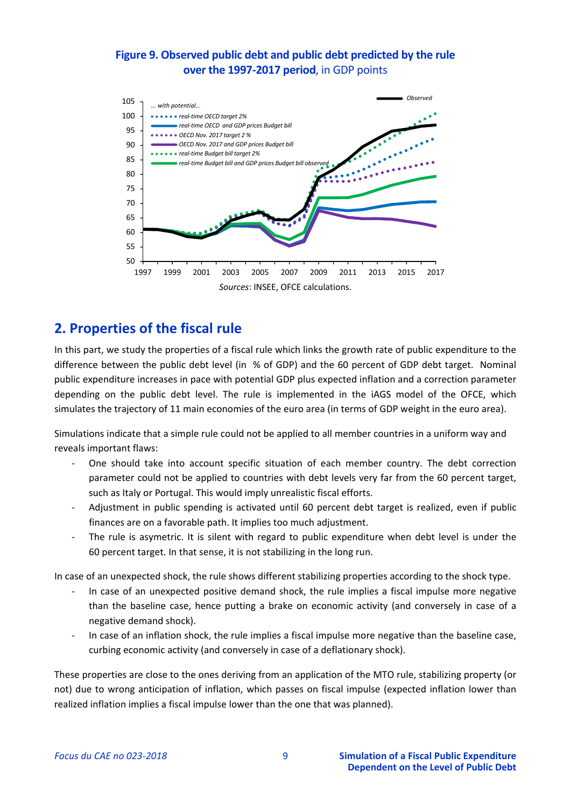# **Figure 9. Observed public debt and public debt predicted by the rule over the 1997‐2017 period**, in GDP points



# **2. Properties of the fiscal rule**

In this part, we study the properties of a fiscal rule which links the growth rate of public expenditure to the difference between the public debt level (in % of GDP) and the 60 percent of GDP debt target. Nominal public expenditure increases in pace with potential GDP plus expected inflation and a correction parameter depending on the public debt level. The rule is implemented in the iAGS model of the OFCE, which simulates the trajectory of 11 main economies of the euro area (in terms of GDP weight in the euro area).

Simulations indicate that a simple rule could not be applied to all member countries in a uniform way and reveals important flaws:

- One should take into account specific situation of each member country. The debt correction parameter could not be applied to countries with debt levels very far from the 60 percent target, such as Italy or Portugal. This would imply unrealistic fiscal efforts.
- Adjustment in public spending is activated until 60 percent debt target is realized, even if public finances are on a favorable path. It implies too much adjustment.
- The rule is asymetric. It is silent with regard to public expenditure when debt level is under the 60 percent target. In that sense, it is not stabilizing in the long run.

In case of an unexpected shock, the rule shows different stabilizing properties according to the shock type.

- ‐ In case of an unexpected positive demand shock, the rule implies a fiscal impulse more negative than the baseline case, hence putting a brake on economic activity (and conversely in case of a negative demand shock).
- ‐ In case of an inflation shock, the rule implies a fiscal impulse more negative than the baseline case, curbing economic activity (and conversely in case of a deflationary shock).

These properties are close to the ones deriving from an application of the MTO rule, stabilizing property (or not) due to wrong anticipation of inflation, which passes on fiscal impulse (expected inflation lower than realized inflation implies a fiscal impulse lower than the one that was planned).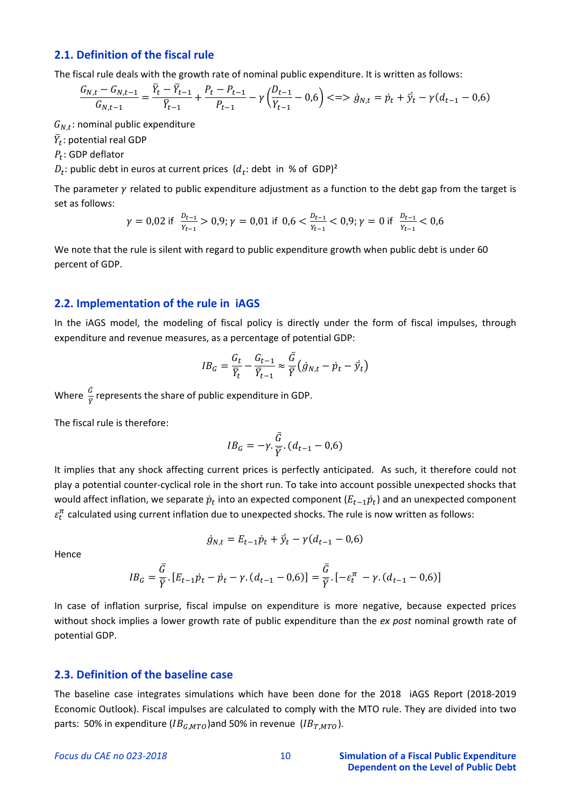### **2.1. Definition of the fiscal rule**

The fiscal rule deals with the growth rate of nominal public expenditure. It is written as follows:

$$
\frac{G_{N,t} - G_{N,t-1}}{G_{N,t-1}} = \frac{\bar{Y}_t - \bar{Y}_{t-1}}{\bar{Y}_{t-1}} + \frac{P_t - P_{t-1}}{P_{t-1}} - \gamma \left(\frac{D_{t-1}}{Y_{t-1}} - 0.6\right) \leq \implies \dot{g}_{N,t} = \dot{p}_t + \dot{\bar{y}}_t - \gamma (d_{t-1} - 0.6)
$$

 $G_{N,t}$ : nominal public expenditure

 $\bar{Y}_t$ : potential real GDP

 $P_t$ : GDP deflator

 $D_t$ : public debt in euros at current prices  $(d_t: \text{debt in } %)$  of GDP)<sup>2</sup>

The parameter  $\gamma$  related to public expenditure adjustment as a function to the debt gap from the target is set as follows:

$$
\gamma = 0.02 \text{ if } \frac{p_{t-1}}{Y_{t-1}} > 0.9; \gamma = 0.01 \text{ if } 0.6 < \frac{p_{t-1}}{Y_{t-1}} < 0.9; \gamma = 0 \text{ if } \frac{p_{t-1}}{Y_{t-1}} < 0.6
$$

We note that the rule is silent with regard to public expenditure growth when public debt is under 60 percent of GDP.

#### **2.2. Implementation of the rule in iAGS**

In the iAGS model, the modeling of fiscal policy is directly under the form of fiscal impulses, through expenditure and revenue measures, as a percentage of potential GDP:

$$
IB_G = \frac{G_t}{\overline{Y}_t} - \frac{G_{t-1}}{\overline{Y}_{t-1}} \approx \frac{\overline{G}}{\overline{Y}} \left( \dot{g}_{N,t} - \dot{p}_t - \overline{y}_t \right)
$$

Where  $\frac{\bar{G}}{\bar{Y}}$  represents the share of public expenditure in GDP.

The fiscal rule is therefore:

$$
IB_G = -\gamma.\frac{\bar{G}}{\bar{Y}}.(d_{t-1} - 0.6)
$$

It implies that any shock affecting current prices is perfectly anticipated. As such, it therefore could not play a potential counter‐cyclical role in the short run. To take into account possible unexpected shocks that would affect inflation, we separate  $\dot{p}_t$  into an expected component ( $E_{t-1}$  $\dot{p}_t$ ) and an unexpected component  $\varepsilon_t^{\pi}$  calculated using current inflation due to unexpected shocks. The rule is now written as follows:

Hence

$$
\dot{g}_{N,t} = E_{t-1}\dot{p}_t + \dot{\bar{y}}_t - \gamma(d_{t-1} - 0.6)
$$

$$
IB_G = \frac{\bar{G}}{\bar{Y}} [E_{t-1} \dot{p}_t - \dot{p}_t - \gamma (d_{t-1} - 0.6)] = \frac{\bar{G}}{\bar{Y}} [E_{t-1} \gamma (d_{t-1} - 0.6)]
$$

In case of inflation surprise, fiscal impulse on expenditure is more negative, because expected prices without shock implies a lower growth rate of public expenditure than the *ex post* nominal growth rate of potential GDP.

#### **2.3. Definition of the baseline case**

The baseline case integrates simulations which have been done for the 2018 iAGS Report (2018-2019 Economic Outlook). Fiscal impulses are calculated to comply with the MTO rule. They are divided into two parts: 50% in expenditure ( $IB_{G, MTO}$ )and 50% in revenue ( $IB_{T, MTO}$ ).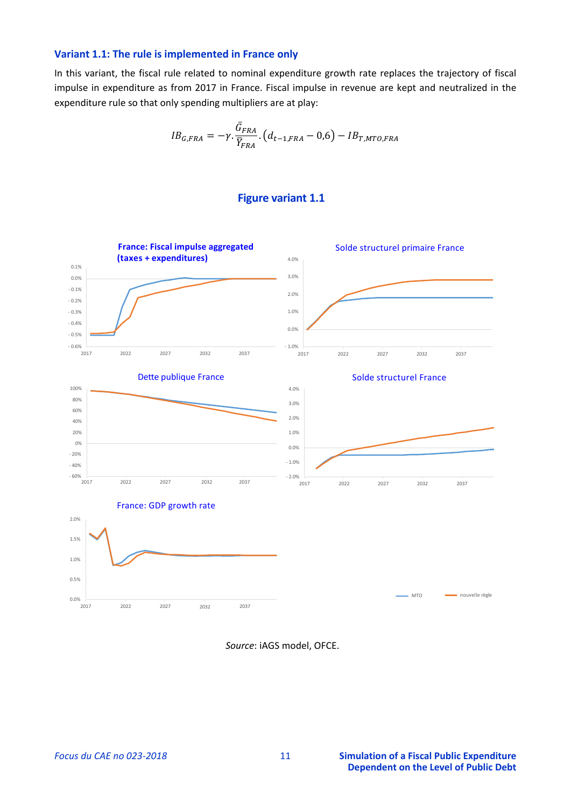#### **Variant 1.1: The rule is implemented in France only**

In this variant, the fiscal rule related to nominal expenditure growth rate replaces the trajectory of fiscal impulse in expenditure as from 2017 in France. Fiscal impulse in revenue are kept and neutralized in the expenditure rule so that only spending multipliers are at play:

$$
IB_{G,FRA} = -\gamma \cdot \frac{\bar{G}_{FRA}}{\bar{Y}_{FRA}} \cdot (d_{t-1,FRA} - 0.6) - IB_{T,MTO,FRA}
$$

#### **Figure variant 1.1**

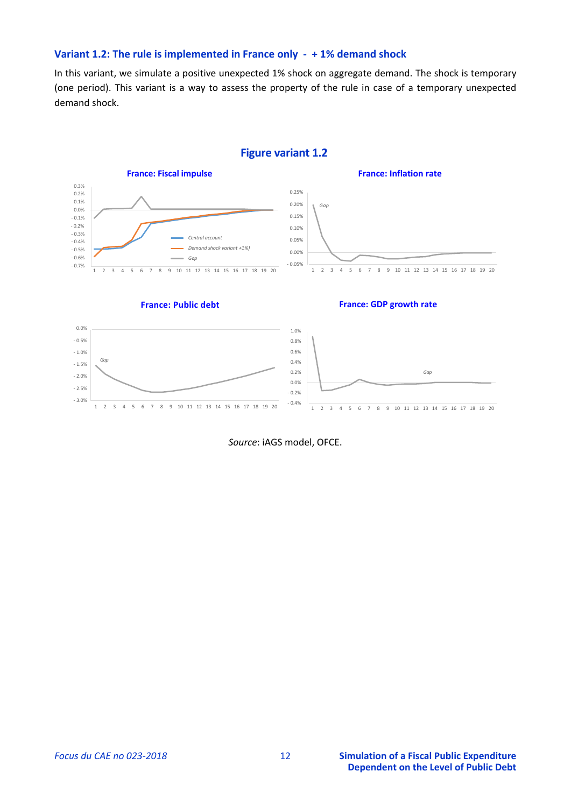#### **Variant 1.2: The rule is implemented in France only ‐ + 1% demand shock**

In this variant, we simulate a positive unexpected 1% shock on aggregate demand. The shock is temporary (one period). This variant is a way to assess the property of the rule in case of a temporary unexpected demand shock.

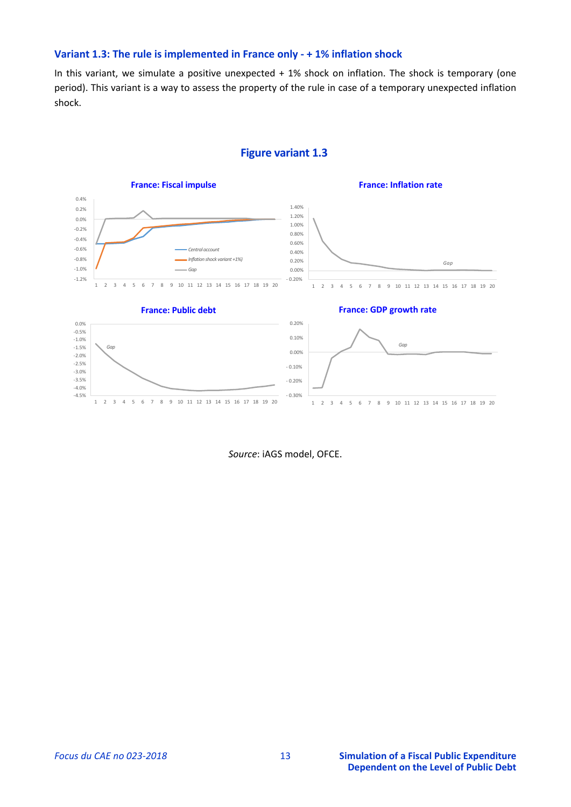#### **Variant 1.3: The rule is implemented in France only ‐ + 1% inflation shock**

In this variant, we simulate a positive unexpected + 1% shock on inflation. The shock is temporary (one period). This variant is a way to assess the property of the rule in case of a temporary unexpected inflation shock.



#### **Figure variant 1.3**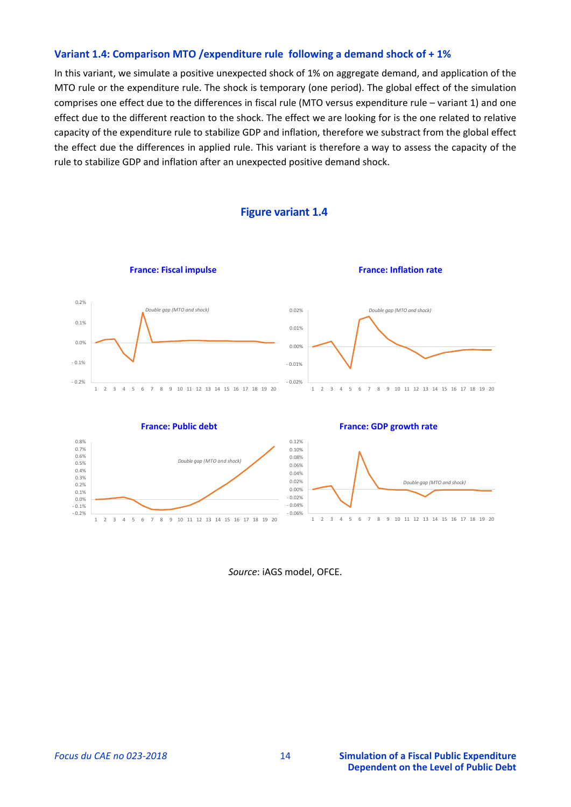#### **Variant 1.4: Comparison MTO /expenditure rule following a demand shock of + 1%**

In this variant, we simulate a positive unexpected shock of 1% on aggregate demand, and application of the MTO rule or the expenditure rule. The shock is temporary (one period). The global effect of the simulation comprises one effect due to the differences in fiscal rule (MTO versus expenditure rule – variant 1) and one effect due to the different reaction to the shock. The effect we are looking for is the one related to relative capacity of the expenditure rule to stabilize GDP and inflation, therefore we substract from the global effect the effect due the differences in applied rule. This variant is therefore a way to assess the capacity of the rule to stabilize GDP and inflation after an unexpected positive demand shock.



#### **Figure variant 1.4**

*Source*: iAGS model, OFCE.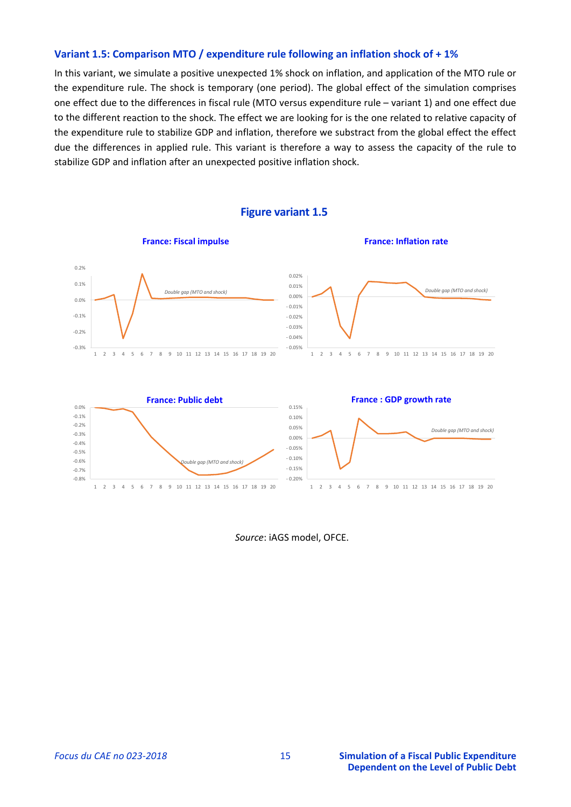#### **Variant 1.5: Comparison MTO / expenditure rule following an inflation shock of + 1%**

In this variant, we simulate a positive unexpected 1% shock on inflation, and application of the MTO rule or the expenditure rule. The shock is temporary (one period). The global effect of the simulation comprises one effect due to the differences in fiscal rule (MTO versus expenditure rule – variant 1) and one effect due to the different reaction to the shock. The effect we are looking for is the one related to relative capacity of the expenditure rule to stabilize GDP and inflation, therefore we substract from the global effect the effect due the differences in applied rule. This variant is therefore a way to assess the capacity of the rule to stabilize GDP and inflation after an unexpected positive inflation shock.



**Figure variant 1.5**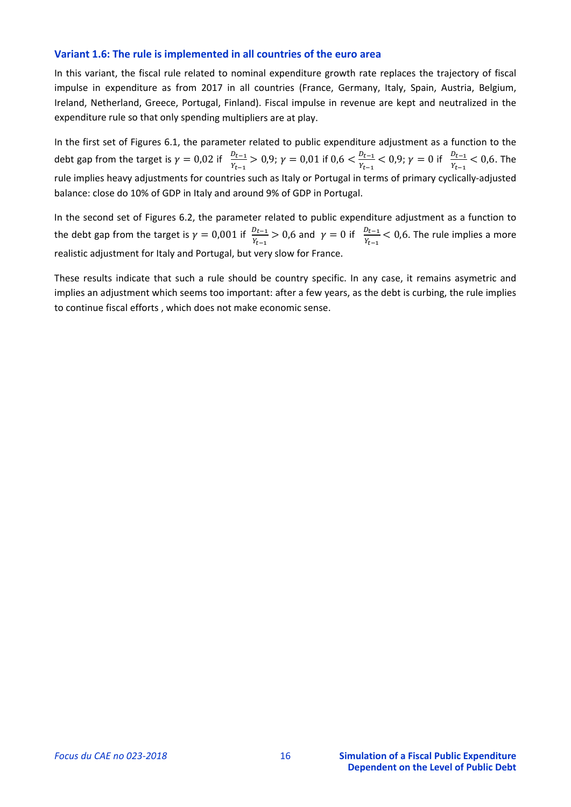#### Variant 1.6: The rule is implemented in all countries of the euro area

In this variant, the fiscal rule related to nominal expenditure growth rate replaces the trajectory of fiscal impulse in expenditure as from 2017 in all countries (France, Germany, Italy, Spain, Austria, Belgium, Ireland, Netherland, Greece, Portugal, Finland). Fiscal impulse in revenue are kept and neutralized in the expenditure rule so that only spending multipliers are at play.

In the first set of Figures 6.1, the parameter related to public expenditure adjustment as a function to the debt gap from the target is  $\gamma = 0.02$  if  $\frac{D_{t-1}}{Y_{t-1}} > 0.9$ ;  $\gamma = 0.01$  if  $0.6 < \frac{D_{t-1}}{Y_{t-1}} < 0.9$ ;  $\gamma = 0$  if  $\frac{D_{t-1}}{Y_{t-1}} < 0.6$ . The rule implies heavy adjustments for countries such as Italy or Portugal in terms of primary cyclically-adjusted balance: close do 10% of GDP in Italy and around 9% of GDP in Portugal.

In the second set of Figures 6.2, the parameter related to public expenditure adjustment as a function to the debt gap from the target is  $\gamma = 0.001$  if  $\frac{D_{t-1}}{Y_{t-1}} > 0.6$  and  $\gamma = 0$  if  $\frac{D_{t-1}}{Y_{t-1}} < 0.6$ . The rule implies a more realistic adjustment for Italy and Portugal, but very slow for France.

These results indicate that such a rule should be country specific. In any case, it remains asymetric and implies an adjustment which seems too important: after a few years, as the debt is curbing, the rule implies to continue fiscal efforts, which does not make economic sense.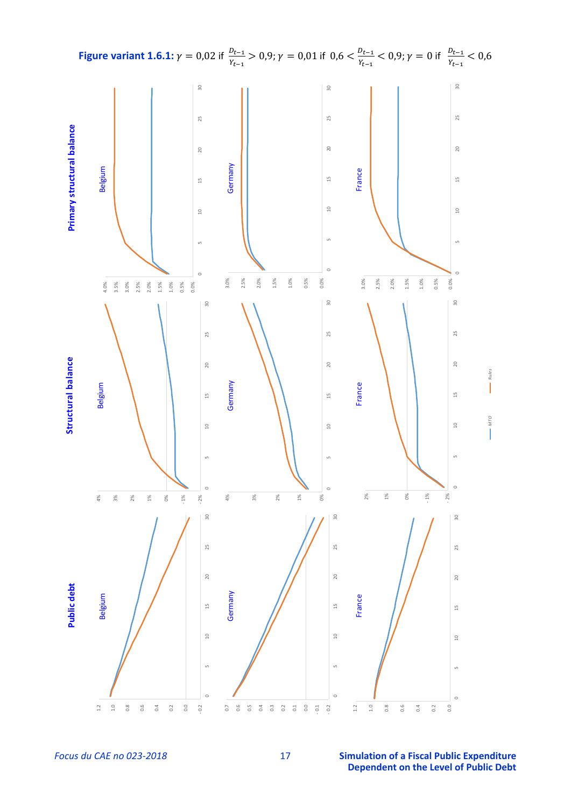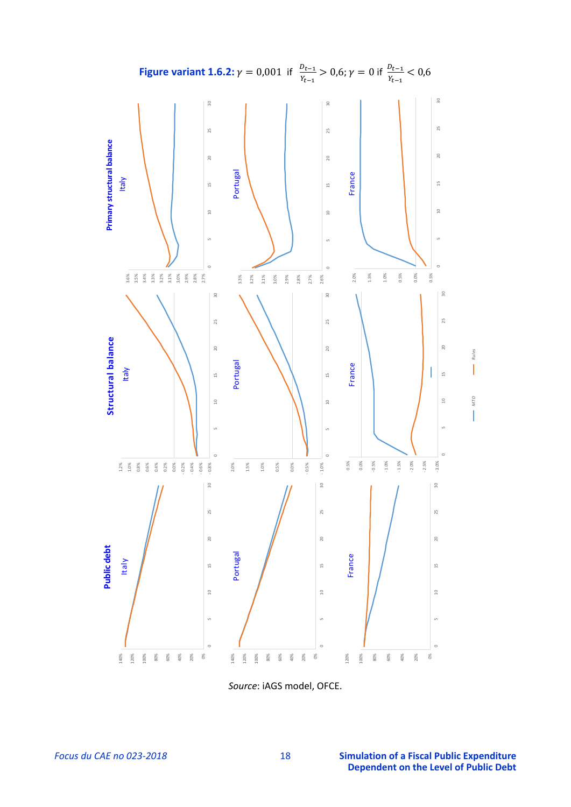

*Source*: iAGS model, OFCE.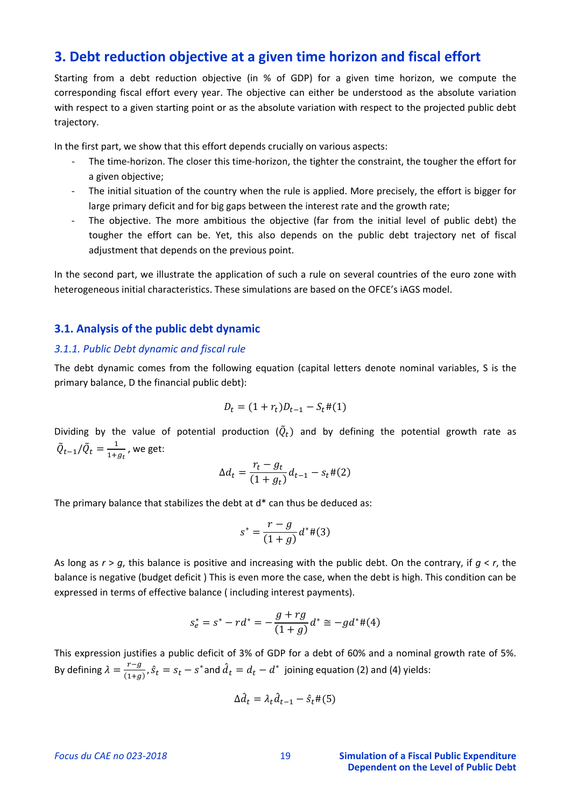# 3. Debt reduction objective at a given time horizon and fiscal effort

Starting from a debt reduction objective (in % of GDP) for a given time horizon, we compute the corresponding fiscal effort every year. The objective can either be understood as the absolute variation with respect to a given starting point or as the absolute variation with respect to the projected public debt trajectory.

In the first part, we show that this effort depends crucially on various aspects:

- The time-horizon. The closer this time-horizon, the tighter the constraint, the tougher the effort for a given objective;
- The initial situation of the country when the rule is applied. More precisely, the effort is bigger for large primary deficit and for big gaps between the interest rate and the growth rate;
- The objective. The more ambitious the objective (far from the initial level of public debt) the  $\omega_{\rm{max}}$ tougher the effort can be. Yet, this also depends on the public debt trajectory net of fiscal adjustment that depends on the previous point.

In the second part, we illustrate the application of such a rule on several countries of the euro zone with heterogeneous initial characteristics. These simulations are based on the OFCE's iAGS model.

#### 3.1. Analysis of the public debt dynamic

#### 3.1.1. Public Debt dynamic and fiscal rule

The debt dynamic comes from the following equation (capital letters denote nominal variables, S is the primary balance, D the financial public debt):

$$
D_t = (1 + r_t)D_{t-1} - S_t \#(1)
$$

Dividing by the value of potential production  $(\tilde{Q}_t)$  and by defining the potential growth rate as  $\tilde{Q}_{t-1}/\tilde{Q}_t = \frac{1}{1+a_t}$ , we get:

$$
\Delta d_t = \frac{r_t - g_t}{(1 + g_t)} d_{t-1} - s_t \#(2)
$$

The primary balance that stabilizes the debt at d\* can thus be deduced as:

$$
s^* = \frac{r - g}{(1 + g)} d^* \#(3)
$$

As long as  $r > q$ , this balance is positive and increasing with the public debt. On the contrary, if  $q < r$ , the balance is negative (budget deficit) This is even more the case, when the debt is high. This condition can be expressed in terms of effective balance (including interest payments).

$$
s_e^* = s^* - rd^* = -\frac{g + rg}{(1 + g)}d^* \cong -gd^* \#(4)
$$

This expression justifies a public deficit of 3% of GDP for a debt of 60% and a nominal growth rate of 5%. By defining  $\lambda = \frac{r-g}{(1+g)}, \hat{s}_t = s_t - s^*$  and  $\hat{d}_t = d_t - d^*$  joining equation (2) and (4) yields:

$$
\Delta \hat{d}_t = \lambda_t \hat{d}_{t-1} - \hat{s}_t \#(5)
$$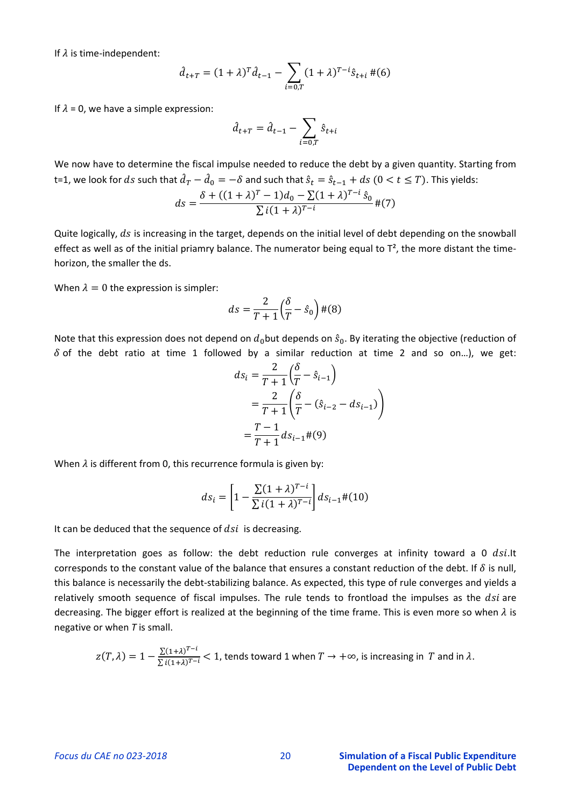If  $\lambda$  is time-independent:

$$
\hat{d}_{t+T} = (1+\lambda)^T \hat{d}_{t-1} - \sum_{i=0,T} (1+\lambda)^{T-i} \hat{s}_{t+i} \, \#(6)
$$

If  $\lambda$  = 0, we have a simple expression:

$$
\hat{d}_{t+T} = \hat{d}_{t-1} - \sum_{i=0,T} \hat{s}_{t+i}
$$

We now have to determine the fiscal impulse needed to reduce the debt by a given quantity. Starting from t=1, we look for ds such that  $\hat{d}_T - \hat{d}_0 = -\delta$  and such that  $\hat{s}_t = \hat{s}_{t-1} + ds$   $(0 < t \leq T)$ . This yields:

$$
ds = \frac{\delta + ((1 + \lambda)^{T} - 1)d_0 - \sum (1 + \lambda)^{T - i} \hat{s}_0}{\sum i (1 + \lambda)^{T - i}} \, \text{#}(7)
$$

Quite logically, ds is increasing in the target, depends on the initial level of debt depending on the snowball effect as well as of the initial priamry balance. The numerator being equal to  $T^2$ , the more distant the timehorizon, the smaller the ds.

When  $\lambda = 0$  the expression is simpler:

$$
ds = \frac{2}{T+1} \left(\frac{\delta}{T} - \hat{s}_0\right) \#(8)
$$

Note that this expression does not depend on  $d_0$  but depends on  $\hat{s}_0$ . By iterating the objective (reduction of  $\delta$  of the debt ratio at time 1 followed by a similar reduction at time 2 and so on...), we get:

$$
ds_{i} = \frac{2}{T+1} \left( \frac{\delta}{T} - \hat{s}_{i-1} \right)
$$
  
= 
$$
\frac{2}{T+1} \left( \frac{\delta}{T} - (\hat{s}_{i-2} - ds_{i-1}) \right)
$$
  
= 
$$
\frac{T-1}{T+1} ds_{i-1} \#(9)
$$

When  $\lambda$  is different from 0, this recurrence formula is given by:

$$
ds_i = \left[1 - \frac{\sum (1+\lambda)^{T-i}}{\sum i(1+\lambda)^{T-i}}\right] ds_{i-1} \#(10)
$$

It can be deduced that the sequence of  $dsi$  is decreasing.

The interpretation goes as follow: the debt reduction rule converges at infinity toward a 0 dsi. It corresponds to the constant value of the balance that ensures a constant reduction of the debt. If  $\delta$  is null, this balance is necessarily the debt-stabilizing balance. As expected, this type of rule converges and yields a relatively smooth sequence of fiscal impulses. The rule tends to frontload the impulses as the dsi are decreasing. The bigger effort is realized at the beginning of the time frame. This is even more so when  $\lambda$  is negative or when  $T$  is small.

$$
z(T,\lambda) = 1 - \frac{\sum (1+\lambda)^{T-i}}{\sum i(1+\lambda)^{T-i}} < 1
$$
, tends toward 1 when  $T \to +\infty$ , is increasing in T and in  $\lambda$ .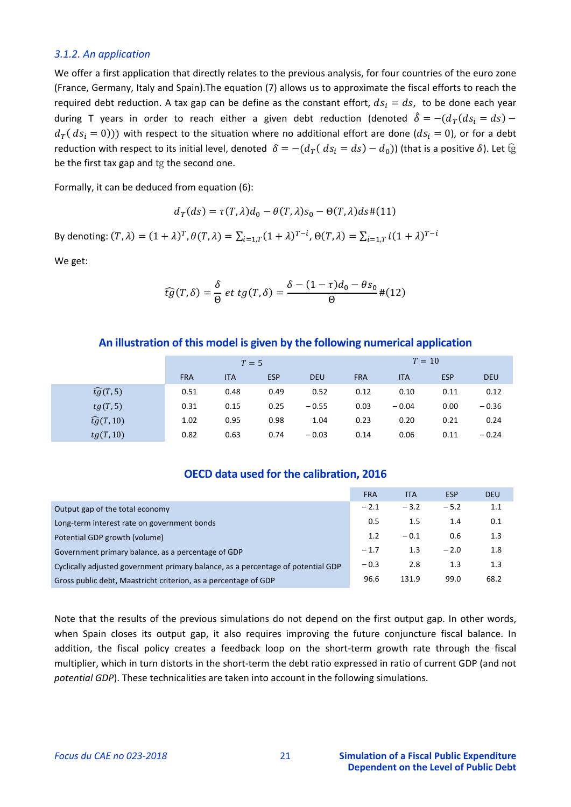#### 3.1.2. An application

We offer a first application that directly relates to the previous analysis, for four countries of the euro zone (France, Germany, Italy and Spain). The equation (7) allows us to approximate the fiscal efforts to reach the required debt reduction. A tax gap can be define as the constant effort,  $ds_i = ds$ , to be done each year during T years in order to reach either a given debt reduction (denoted  $\hat{\delta} = -(d_T(ds_i = ds) - d_T(s_i))$  $d_T(ds_i = 0))$  with respect to the situation where no additional effort are done  $(ds_i = 0)$ , or for a debt reduction with respect to its initial level, denoted  $\delta = -(d_T(d_{S_i} = ds) - d_0)$  (that is a positive  $\delta$ ). Let fg be the first tax gap and tg the second one.

Formally, it can be deduced from equation (6):

$$
d_T(ds) = \tau(T, \lambda) d_0 - \theta(T, \lambda) s_0 - \Theta(T, \lambda) ds \# (11)
$$

By denoting:  $(T, \lambda) = (1 + \lambda)^T$ ,  $\theta(T, \lambda) = \sum_{i=1,T} (1 + \lambda)^{T-i}$ ,  $\Theta(T, \lambda) = \sum_{i=1,T} i(1 + \lambda)^{T-i}$ 

We get:

$$
\widehat{tg}(T,\delta) = \frac{\delta}{\Theta} \, et \, tg(T,\delta) = \frac{\delta - (1-\tau)d_0 - \theta s_0}{\Theta} \, \#(12)
$$

#### An illustration of this model is given by the following numerical application

|                      | $T=5$      |            |            |            | $T=10$     |            |            |            |
|----------------------|------------|------------|------------|------------|------------|------------|------------|------------|
|                      | <b>FRA</b> | <b>ITA</b> | <b>ESP</b> | <b>DEU</b> | <b>FRA</b> | <b>ITA</b> | <b>ESP</b> | <b>DEU</b> |
| $\widehat{tg}(T,5)$  | 0.51       | 0.48       | 0.49       | 0.52       | 0.12       | 0.10       | 0.11       | 0.12       |
| tg(T,5)              | 0.31       | 0.15       | 0.25       | $-0.55$    | 0.03       | $-0.04$    | 0.00       | $-0.36$    |
| $\widehat{tg}(T,10)$ | 1.02       | 0.95       | 0.98       | 1.04       | 0.23       | 0.20       | 0.21       | 0.24       |
| tg(T,10)             | 0.82       | 0.63       | 0.74       | $-0.03$    | 0.14       | 0.06       | 0.11       | $-0.24$    |

#### OECD data used for the calibration, 2016

|                                                                                  | <b>FRA</b> | <b>ITA</b> | ESP    | <b>DEU</b> |
|----------------------------------------------------------------------------------|------------|------------|--------|------------|
| Output gap of the total economy                                                  | $-2.1$     | $-3.2$     | $-5.2$ | 1.1        |
| Long-term interest rate on government bonds                                      | 0.5        | 1.5        | 1.4    | 0.1        |
| Potential GDP growth (volume)                                                    | 1.2        | $-0.1$     | 0.6    | 1.3        |
| Government primary balance, as a percentage of GDP                               | $-1.7$     | 1.3        | $-2.0$ | 1.8        |
| Cyclically adjusted government primary balance, as a percentage of potential GDP | $-0.3$     | 2.8        | 1.3    | 1.3        |
| Gross public debt, Maastricht criterion, as a percentage of GDP                  | 96.6       | 131.9      | 99.0   | 68.2       |

Note that the results of the previous simulations do not depend on the first output gap. In other words, when Spain closes its output gap, it also requires improving the future conjuncture fiscal balance. In addition, the fiscal policy creates a feedback loop on the short-term growth rate through the fiscal multiplier, which in turn distorts in the short-term the debt ratio expressed in ratio of current GDP (and not potential GDP). These technicalities are taken into account in the following simulations.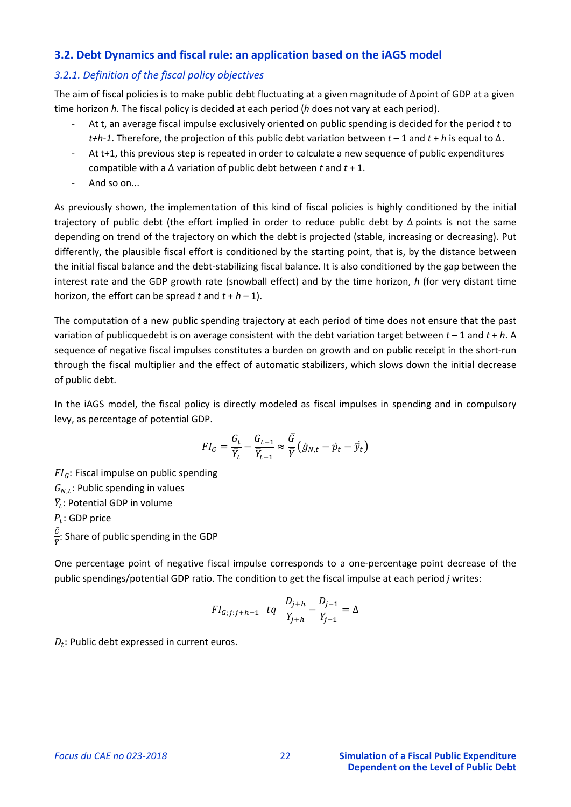## **3.2. Debt Dynamics and fiscal rule: an application based on the iAGS model**

### *3.2.1. Definition of the fiscal policy objectives*

The aim of fiscal policies is to make public debt fluctuating at a given magnitude of ∆point of GDP at a given time horizon *h*. The fiscal policy is decided at each period (*h* does not vary at each period).

- ‐ At t, an average fiscal impulse exclusively oriented on public spending is decided for the period *t* to *t+h‐1*. Therefore, the projection of this public debt variation between *t* – 1 and *t* + *h* is equal to ∆.
- ‐ At t+1, this previous step is repeated in order to calculate a new sequence of public expenditures compatible with a ∆ variation of public debt between *t* and *t* + 1.
- ‐ And so on...

As previously shown, the implementation of this kind of fiscal policies is highly conditioned by the initial trajectory of public debt (the effort implied in order to reduce public debt by ∆ points is not the same depending on trend of the trajectory on which the debt is projected (stable, increasing or decreasing). Put differently, the plausible fiscal effort is conditioned by the starting point, that is, by the distance between the initial fiscal balance and the debt-stabilizing fiscal balance. It is also conditioned by the gap between the interest rate and the GDP growth rate (snowball effect) and by the time horizon, *h* (for very distant time horizon, the effort can be spread  $t$  and  $t + h - 1$ ).

The computation of a new public spending trajectory at each period of time does not ensure that the past variation of publicquedebt is on average consistent with the debt variation target between *t* – 1 and *t* + *h*. A sequence of negative fiscal impulses constitutes a burden on growth and on public receipt in the short-run through the fiscal multiplier and the effect of automatic stabilizers, which slows down the initial decrease of public debt.

In the iAGS model, the fiscal policy is directly modeled as fiscal impulses in spending and in compulsory levy, as percentage of potential GDP.

$$
FI_G = \frac{G_t}{\overline{Y}_t} - \frac{G_{t-1}}{\overline{Y}_{t-1}} \approx \frac{\overline{G}}{\overline{Y}} \left( \dot{g}_{N,t} - \dot{p}_t - \overline{y}_t \right)
$$

 $FI_G$ : Fiscal impulse on public spending  $G_{N,t}$ : Public spending in values  $\bar{Y}_t$ : Potential GDP in volume  $P_t$ : GDP price  $\bar{G}$  $\frac{a}{\overline{Y}}$ : Share of public spending in the GDP

One percentage point of negative fiscal impulse corresponds to a one‐percentage point decrease of the public spendings/potential GDP ratio. The condition to get the fiscal impulse at each period *j* writes:

$$
FI_{G;j:j+h-1} \quad tq \quad \frac{D_{j+h}}{Y_{j+h}} - \frac{D_{j-1}}{Y_{j-1}} = \Delta
$$

 $D_t$ : Public debt expressed in current euros.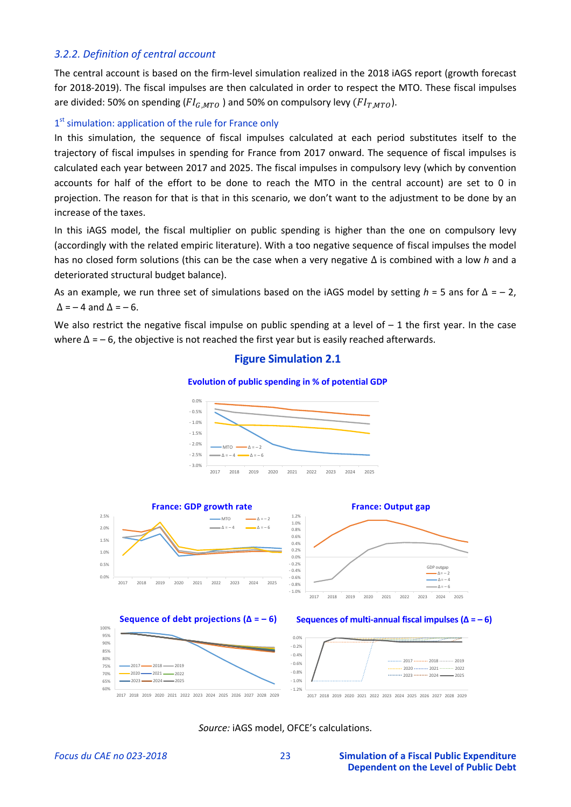### *3.2.2. Definition of central account*

The central account is based on the firm‐level simulation realized in the 2018 iAGS report (growth forecast for 2018‐2019). The fiscal impulses are then calculated in order to respect the MTO. These fiscal impulses are divided: 50% on spending ( $FI_{GMTO}$ ) and 50% on compulsory levy ( $FI_{TMTO}$ ).

### 1<sup>st</sup> simulation: application of the rule for France only

In this simulation, the sequence of fiscal impulses calculated at each period substitutes itself to the trajectory of fiscal impulses in spending for France from 2017 onward. The sequence of fiscal impulses is calculated each year between 2017 and 2025. The fiscal impulses in compulsory levy (which by convention accounts for half of the effort to be done to reach the MTO in the central account) are set to 0 in projection. The reason for that is that in this scenario, we don't want to the adjustment to be done by an increase of the taxes.

In this iAGS model, the fiscal multiplier on public spending is higher than the one on compulsory levy (accordingly with the related empiric literature). With a too negative sequence of fiscal impulses the model has no closed form solutions (this can be the case when a very negative ∆ is combined with a low *h* and a deteriorated structural budget balance).

As an example, we run three set of simulations based on the iAGS model by setting *h* = 5 ans for ∆ = – 2,  $\Delta$  = – 4 and  $\Delta$  = – 6.

We also restrict the negative fiscal impulse on public spending at a level of  $-1$  the first year. In the case where  $\Delta$  = – 6, the objective is not reached the first year but is easily reached afterwards.

# **Figure Simulation 2.1**

#### **Evolution of public spending in % of potential GDP**



*Source:* iAGS model, OFCE's calculations.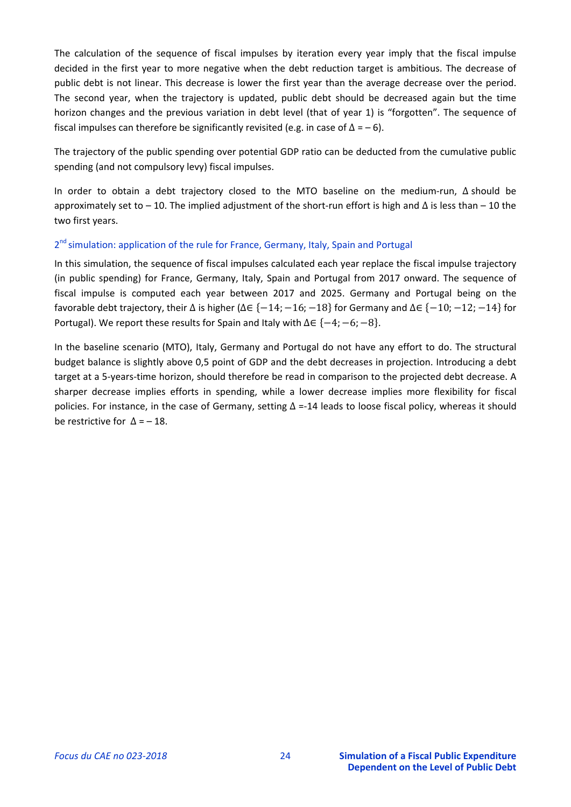The calculation of the sequence of fiscal impulses by iteration every year imply that the fiscal impulse decided in the first year to more negative when the debt reduction target is ambitious. The decrease of public debt is not linear. This decrease is lower the first year than the average decrease over the period. The second year, when the trajectory is updated, public debt should be decreased again but the time horizon changes and the previous variation in debt level (that of year 1) is "forgotten". The sequence of fiscal impulses can therefore be significantly revisited (e.g. in case of  $\Delta = -6$ ).

The trajectory of the public spending over potential GDP ratio can be deducted from the cumulative public spending (and not compulsory levy) fiscal impulses.

In order to obtain a debt trajectory closed to the MTO baseline on the medium‐run, ∆ should be approximately set to – 10. The implied adjustment of the short-run effort is high and  $\Delta$  is less than – 10 the two first years.

# 2<sup>nd</sup> simulation: application of the rule for France, Germany, Italy, Spain and Portugal

In this simulation, the sequence of fiscal impulses calculated each year replace the fiscal impulse trajectory (in public spending) for France, Germany, Italy, Spain and Portugal from 2017 onward. The sequence of fiscal impulse is computed each year between 2017 and 2025. Germany and Portugal being on the favorable debt trajectory, their  $\Delta$  is higher ( $\Delta \in \{-14; -16; -18\}$  for Germany and  $\Delta \in \{-10; -12; -14\}$  for Portugal). We report these results for Spain and Italy with  $\Delta \in \{-4; -6; -8\}$ .

In the baseline scenario (MTO), Italy, Germany and Portugal do not have any effort to do. The structural budget balance is slightly above 0,5 point of GDP and the debt decreases in projection. Introducing a debt target at a 5‐years‐time horizon, should therefore be read in comparison to the projected debt decrease. A sharper decrease implies efforts in spending, while a lower decrease implies more flexibility for fiscal policies. For instance, in the case of Germany, setting  $\Delta$  =-14 leads to loose fiscal policy, whereas it should be restrictive for  $\Delta = -18$ .